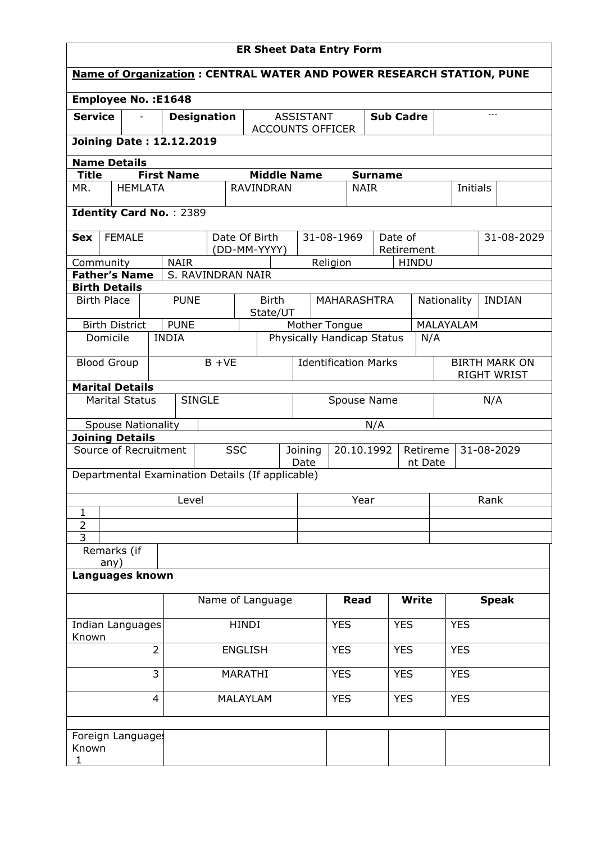| <b>ER Sheet Data Entry Form</b>                                             |               |                |                   |                    |            |                               |            |                                             |                          |             |                |                       |            |           |             |              |                                            |
|-----------------------------------------------------------------------------|---------------|----------------|-------------------|--------------------|------------|-------------------------------|------------|---------------------------------------------|--------------------------|-------------|----------------|-----------------------|------------|-----------|-------------|--------------|--------------------------------------------|
| <b>Name of Organization: CENTRAL WATER AND POWER RESEARCH STATION, PUNE</b> |               |                |                   |                    |            |                               |            |                                             |                          |             |                |                       |            |           |             |              |                                            |
| <b>Employee No.: E1648</b>                                                  |               |                |                   |                    |            |                               |            |                                             |                          |             |                |                       |            |           |             |              |                                            |
| <b>Service</b>                                                              |               |                |                   | <b>Designation</b> |            |                               |            | <b>ASSISTANT</b><br><b>ACCOUNTS OFFICER</b> | <b>Sub Cadre</b>         |             |                |                       |            |           | $---$       |              |                                            |
| <b>Joining Date: 12.12.2019</b>                                             |               |                |                   |                    |            |                               |            |                                             |                          |             |                |                       |            |           |             |              |                                            |
| <b>Name Details</b>                                                         |               |                |                   |                    |            |                               |            |                                             |                          |             |                |                       |            |           |             |              |                                            |
| <b>Title</b>                                                                |               |                | <b>First Name</b> |                    |            | <b>Middle Name</b>            |            |                                             |                          |             | <b>Surname</b> |                       |            |           |             |              |                                            |
| MR.                                                                         |               | <b>HEMLATA</b> |                   |                    |            | <b>RAVINDRAN</b>              |            |                                             |                          | <b>NAIR</b> |                |                       |            |           | Initials    |              |                                            |
| <b>Identity Card No.: 2389</b>                                              |               |                |                   |                    |            |                               |            |                                             |                          |             |                |                       |            |           |             |              |                                            |
| <b>Sex</b>                                                                  | <b>FEMALE</b> |                |                   |                    |            | Date Of Birth<br>(DD-MM-YYYY) |            |                                             | 31-08-1969               |             |                | Date of<br>Retirement |            |           |             |              | 31-08-2029                                 |
| Community                                                                   |               |                | <b>NAIR</b>       |                    |            |                               |            |                                             | Religion                 |             |                | <b>HINDU</b>          |            |           |             |              |                                            |
| <b>Father's Name</b>                                                        |               |                |                   | S. RAVINDRAN NAIR  |            |                               |            |                                             |                          |             |                |                       |            |           |             |              |                                            |
| <b>Birth Details</b>                                                        |               |                |                   |                    |            |                               |            |                                             |                          |             |                |                       |            |           |             |              |                                            |
| <b>Birth Place</b>                                                          |               |                | <b>PUNE</b>       |                    |            | <b>Birth</b><br>State/UT      |            |                                             | <b>MAHARASHTRA</b>       |             |                |                       |            |           | Nationality |              | <b>INDIAN</b>                              |
| <b>Birth District</b>                                                       |               |                | <b>PUNE</b>       |                    |            |                               |            | Mother Tongue                               |                          |             |                |                       |            | MALAYALAM |             |              |                                            |
| Domicile                                                                    |               |                | <b>INDIA</b>      |                    |            |                               |            | Physically Handicap Status                  |                          |             |                |                       | N/A        |           |             |              |                                            |
| <b>Blood Group</b>                                                          |               |                |                   | $B + VE$           |            |                               |            | <b>Identification Marks</b>                 |                          |             |                |                       |            |           |             |              | <b>BIRTH MARK ON</b><br><b>RIGHT WRIST</b> |
| <b>Marital Details</b>                                                      |               |                |                   |                    |            |                               |            |                                             |                          |             |                |                       |            |           |             |              |                                            |
| <b>SINGLE</b><br><b>Marital Status</b><br>Spouse Name                       |               |                |                   |                    |            | N/A                           |            |                                             |                          |             |                |                       |            |           |             |              |                                            |
| <b>Spouse Nationality</b><br><b>Joining Details</b>                         |               |                |                   |                    |            |                               |            |                                             |                          |             | N/A            |                       |            |           |             |              |                                            |
| Source of Recruitment                                                       |               |                |                   |                    | <b>SSC</b> | Joining<br>Date               |            |                                             | 20.10.1992<br>Retireme   |             |                |                       |            |           |             | 31-08-2029   |                                            |
| Departmental Examination Details (If applicable)                            |               |                |                   |                    |            |                               |            |                                             |                          |             |                |                       | nt Date    |           |             |              |                                            |
|                                                                             |               |                | Level             |                    |            |                               |            |                                             |                          | Year        |                |                       |            |           |             | Rank         |                                            |
| $\mathbf{1}$                                                                |               |                |                   |                    |            |                               |            |                                             |                          |             |                |                       |            |           |             |              |                                            |
| $\overline{2}$<br>$\overline{3}$                                            |               |                |                   |                    |            |                               |            |                                             |                          |             |                |                       |            |           |             |              |                                            |
| Remarks (if                                                                 |               |                |                   |                    |            |                               |            |                                             |                          |             |                |                       |            |           |             |              |                                            |
| any)<br>Languages known                                                     |               |                |                   |                    |            |                               |            |                                             |                          |             |                |                       |            |           |             |              |                                            |
|                                                                             |               |                |                   |                    |            | Name of Language              |            |                                             |                          | Read        |                | <b>Write</b>          |            |           |             | <b>Speak</b> |                                            |
|                                                                             |               |                |                   |                    |            |                               |            |                                             |                          |             |                |                       |            |           |             |              |                                            |
| <b>HINDI</b><br>Indian Languages<br>Known                                   |               |                |                   |                    |            |                               | <b>YES</b> |                                             |                          | <b>YES</b>  |                |                       | <b>YES</b> |           |             |              |                                            |
| $\overline{2}$<br><b>ENGLISH</b>                                            |               |                |                   |                    |            | <b>YES</b>                    |            |                                             | <b>YES</b>               |             |                | <b>YES</b>            |            |           |             |              |                                            |
| 3<br>MARATHI                                                                |               |                |                   |                    |            | <b>YES</b>                    |            |                                             | <b>YES</b><br><b>YES</b> |             |                |                       |            |           |             |              |                                            |
| <b>MALAYLAM</b><br>4                                                        |               |                |                   |                    |            | <b>YES</b>                    |            |                                             | <b>YES</b>               |             |                | <b>YES</b>            |            |           |             |              |                                            |
|                                                                             |               |                |                   |                    |            |                               |            |                                             |                          |             |                |                       |            |           |             |              |                                            |
| Foreign Language:<br>Known                                                  |               |                |                   |                    |            |                               |            |                                             |                          |             |                |                       |            |           |             |              |                                            |
| 1                                                                           |               |                |                   |                    |            |                               |            |                                             |                          |             |                |                       |            |           |             |              |                                            |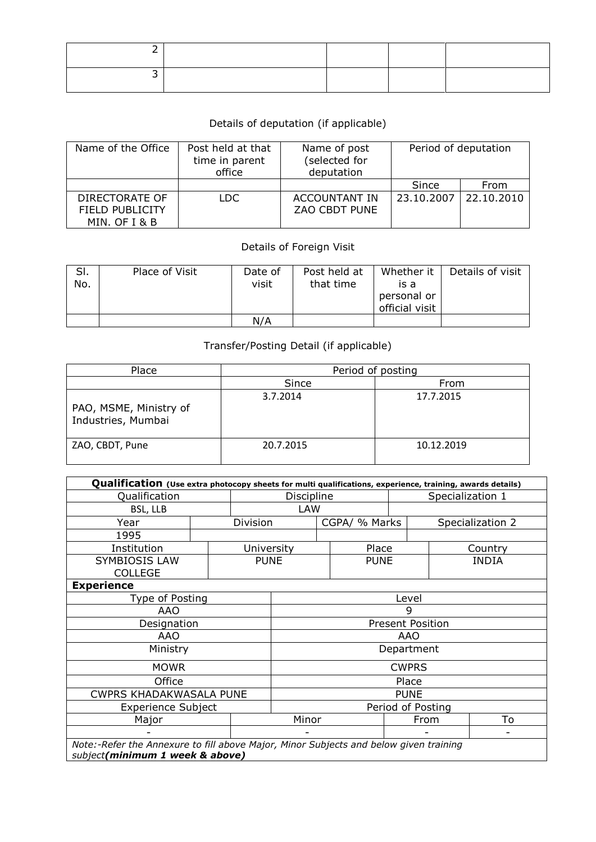## Details of deputation (if applicable)

| Name of the Office                                        | Post held at that<br>time in parent<br>office | Name of post<br>(selected for<br>deputation | Period of deputation |            |  |  |  |
|-----------------------------------------------------------|-----------------------------------------------|---------------------------------------------|----------------------|------------|--|--|--|
|                                                           |                                               |                                             | Since                | From       |  |  |  |
| DIRECTORATE OF<br><b>FIELD PUBLICITY</b><br>MIN. OF I & B | LDC.                                          | ACCOUNTANT IN<br>ZAO CBDT PUNE              | 23.10.2007           | 22.10.2010 |  |  |  |

## Details of Foreign Visit

| SI.<br>No. | Place of Visit | Date of<br>visit | Post held at<br>that time | Whether it<br>is a<br>personal or<br>official visit | Details of visit |
|------------|----------------|------------------|---------------------------|-----------------------------------------------------|------------------|
|            |                | N/A              |                           |                                                     |                  |

## Transfer/Posting Detail (if applicable)

| Place                                        | Period of posting |            |  |  |  |  |  |
|----------------------------------------------|-------------------|------------|--|--|--|--|--|
|                                              | Since             | From       |  |  |  |  |  |
| PAO, MSME, Ministry of<br>Industries, Mumbai | 3.7.2014          | 17.7.2015  |  |  |  |  |  |
| ZAO, CBDT, Pune                              | 20.7.2015         | 10.12.2019 |  |  |  |  |  |

| Qualification (Use extra photocopy sheets for multi qualifications, experience, training, awards details)                |       |             |                         |       |               |                   |  |                  |  |  |
|--------------------------------------------------------------------------------------------------------------------------|-------|-------------|-------------------------|-------|---------------|-------------------|--|------------------|--|--|
| Qualification                                                                                                            |       |             | Discipline              |       |               | Specialization 1  |  |                  |  |  |
| BSL, LLB                                                                                                                 | LAW   |             |                         |       |               |                   |  |                  |  |  |
| Year                                                                                                                     |       | Division    |                         |       | CGPA/ % Marks |                   |  | Specialization 2 |  |  |
| 1995                                                                                                                     |       |             |                         |       |               |                   |  |                  |  |  |
| Institution                                                                                                              |       | University  |                         |       | Place         |                   |  | Country          |  |  |
| <b>SYMBIOSIS LAW</b><br><b>COLLEGE</b>                                                                                   |       | <b>PUNE</b> |                         |       | <b>PUNE</b>   |                   |  | <b>INDIA</b>     |  |  |
| <b>Experience</b>                                                                                                        |       |             |                         |       |               |                   |  |                  |  |  |
| Type of Posting                                                                                                          |       |             |                         | Level |               |                   |  |                  |  |  |
| AAO                                                                                                                      |       |             | g                       |       |               |                   |  |                  |  |  |
| Designation                                                                                                              |       |             | <b>Present Position</b> |       |               |                   |  |                  |  |  |
| AAO                                                                                                                      |       |             | AAO                     |       |               |                   |  |                  |  |  |
| Ministry                                                                                                                 |       |             | Department              |       |               |                   |  |                  |  |  |
| <b>MOWR</b>                                                                                                              |       |             |                         |       |               | <b>CWPRS</b>      |  |                  |  |  |
| Office                                                                                                                   |       |             |                         | Place |               |                   |  |                  |  |  |
| <b>CWPRS KHADAKWASALA PUNE</b>                                                                                           |       |             | <b>PUNE</b>             |       |               |                   |  |                  |  |  |
| <b>Experience Subject</b>                                                                                                |       |             |                         |       |               | Period of Posting |  |                  |  |  |
| Major                                                                                                                    | Minor |             |                         | From  |               | To                |  |                  |  |  |
|                                                                                                                          |       |             |                         |       |               |                   |  |                  |  |  |
| Note:-Refer the Annexure to fill above Major, Minor Subjects and below given training<br>subject(minimum 1 week & above) |       |             |                         |       |               |                   |  |                  |  |  |